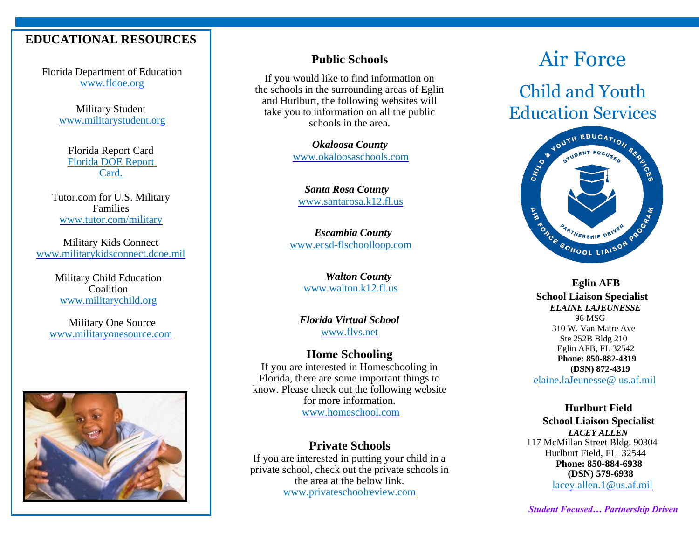## **EDUCATIONAL RESOURCES**

Florida Department of Education [www.fldoe.org](http://www.fldoe.org/)

> Military Student [www.militarystudent.org](http://www.militarystudent.org/)

Florida Report Card [Florida DOE Report](http://www.schoolquest.org/) Card.

Tutor.com for U.S. Military Families [www.tutor.com/military](http://www.tutor.com/military)

Military Kids Connect [www.militarykidsconnect.dcoe.mil](http://www.militarykidsconnect.dcoe.mil/)

> Military Child Education [Coalition](http://www.militarychild.org/) [www.militarychild.org](http://www.militarychild.org/)

Military One Source [www.militaryonesource.com](http://www.militaryonesource.com/)



# **Public Schools**

If you would like to find information on the schools in the surrounding areas of Eglin and Hurlburt, the following websites will take you to information on all the public schools in the area.

> *Okaloosa County* [www.okaloosaschools.com](http://www.okaloosaschools.com/)

 *Santa Rosa County* [www.santarosa.k12.fl.us](http://www.santarosa.k12.fl.us/)

*Escambia County* [www.ecsd-flschoolloop.com](http://www.ecsd-flschoolloop.com/)

> *Walton County* [www.walton.k12.fl.us](http://www.walton.k12.fl.us/)

*Florida Virtual School* [www.flvs.net](http://www.flvs.net/Pages/default.aspx)

### **Home Schooling**

If you are interested in Homeschooling in Florida, there are some important things to know. Please check out the following website for more information. [www.homeschool.com](http://www.homeschool.com/)

#### **Private Schools**

If you are interested in putting your child in a private school, check out the private schools in the area at the below link. [www.privateschoolreview.com](http://www.privateschoolreview.com/)

# Air Force

Child and Youth Education Services



 **Eglin AFB School Liaison Specialist**  *ELAINE LAJEUNESSE* 96 MSG 310 W. Van Matre Ave Ste 252B Bldg 210 Eglin AFB, FL 32542  **Phone: 850-882-4319 (DSN) 872-4319**

elaine.laJeunesse@ us.af.mil

#### **Hurlburt Field**

 **School Liaison Specialist**  *LACEY ALLEN* 117 McMillan Street Bldg. 90304 Hurlburt Field, FL 32544  **Phone: 850-884-6938 (DSN) 579-6938** [lacey.allen.1@us.af.mil](mailto:lacey.allen.1@us.af.mil)